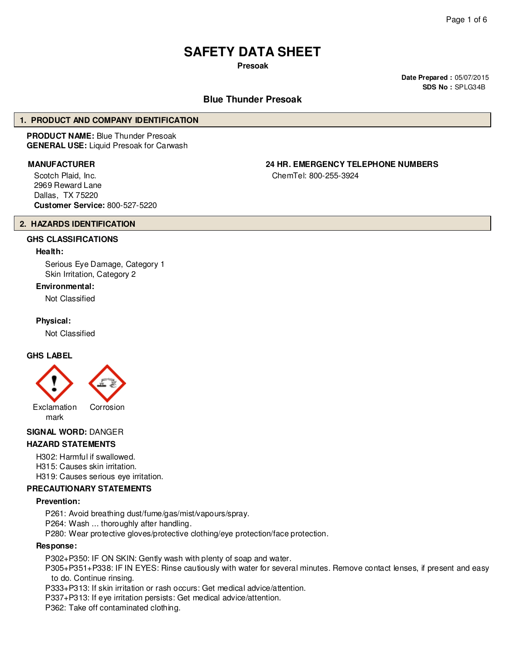# **SAFETY DATA SHEET**

**Presoak**

**Date Prepared :** 05/07/2015 **SDS No :** SPLG34B

## **Blue Thunder Presoak**

#### **1. PRODUCT AND COMPANY IDENTIFICATION**

**PRODUCT NAME:** Blue Thunder Presoak **GENERAL USE:** Liquid Presoak for Carwash

Scotch Plaid, Inc. 2969 Reward Lane Dallas, TX 75220 **Customer Service:** 800-527-5220

**MANUFACTURER 24 HR. EMERGENCY TELEPHONE NUMBERS**

ChemTel: 800-255-3924

#### **2. HAZARDS IDENTIFICATION**

## **GHS CLASSIFICATIONS**

#### **Health:**

Serious Eye Damage, Category 1 Skin Irritation, Category 2

#### **Environmental:**

Not Classified

#### **Physical:**

Not Classified

#### **GHS LABEL**



### **SIGNAL WORD:** DANGER

#### **HAZARD STATEMENTS**

H302: Harmful if swallowed.

H315: Causes skin irritation.

H319: Causes serious eye irritation.

# **PRECAUTIONARY STATEMENTS**

#### **Prevention:**

P261: Avoid breathing dust/fume/gas/mist/vapours/spray.

P264: Wash ... thoroughly after handling.

P280: Wear protective gloves/protective clothing/eye protection/face protection.

#### **Response:**

P302+P350: IF ON SKIN: Gently wash with plenty of soap and water.

P305+P351+P338: IF IN EYES: Rinse cautiously with water for several minutes. Remove contact lenses, if present and easy to do. Continue rinsing.

P333+P313: If skin irritation or rash occurs: Get medical advice/attention.

P337+P313: If eye irritation persists: Get medical advice/attention.

P362: Take off contaminated clothing.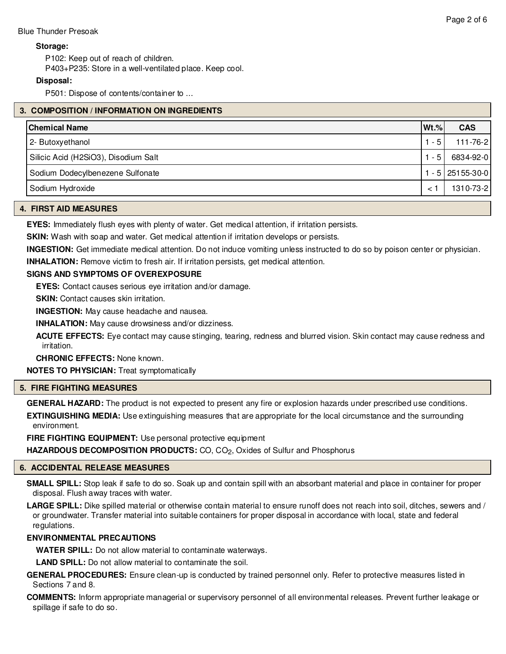### **Storage:**

P102: Keep out of reach of children.

P403+P235: Store in a well-ventilated place. Keep cool.

# **Disposal:**

P501: Dispose of contents/container to ...

## **3. COMPOSITION / INFORMATION ON INGREDIENTS**

| <b>Chemical Name</b>                 | $Wt.\%$ | <b>CAS</b>      |
|--------------------------------------|---------|-----------------|
| 2- Butoxyethanol                     | $-5$    | $111 - 76 - 2$  |
| Silicic Acid (H2SiO3), Disodium Salt | - 5     | 6834-92-0       |
| Sodium Dodecylbenezene Sulfonate     |         | $-5$ 25155-30-0 |
| Sodium Hydroxide                     | $\prec$ | 1310-73-2       |

#### **4. FIRST AID MEASURES**

**EYES:** Immediately flush eyes with plenty of water. Get medical attention, if irritation persists.

**SKIN:** Wash with soap and water. Get medical attention if irritation develops or persists.

**INGESTION:** Get immediate medical attention. Do not induce vomiting unless instructed to do so by poison center or physician.

**INHALATION:** Remove victim to fresh air. If irritation persists, get medical attention.

## **SIGNS AND SYMPTOMS OF OVEREXPOSURE**

**EYES:** Contact causes serious eye irritation and/or damage.

**SKIN:** Contact causes skin irritation.

**INGESTION:** May cause headache and nausea.

**INHALATION:** May cause drowsiness and/or dizziness.

**ACUTE EFFECTS:** Eye contact may cause stinging, tearing, redness and blurred vision. Skin contact may cause redness and irritation.

**CHRONIC EFFECTS:** None known.

**NOTES TO PHYSICIAN:** Treat symptomatically

#### **5. FIRE FIGHTING MEASURES**

**GENERAL HAZARD:** The product is not expected to present any fire or explosion hazards under prescribed use conditions.

**EXTINGUISHING MEDIA:** Use extinguishing measures that are appropriate for the local circumstance and the surrounding environment.

**FIRE FIGHTING EQUIPMENT:** Use personal protective equipment

**HAZARDOUS DECOMPOSITION PRODUCTS:** CO, CO<sub>2</sub>, Oxides of Sulfur and Phosphorus

# **6. ACCIDENTAL RELEASE MEASURES**

**SMALL SPILL:** Stop leak if safe to do so. Soak up and contain spill with an absorbant material and place in container for proper disposal. Flush away traces with water.

**LARGE SPILL:** Dike spilled material or otherwise contain material to ensure runoff does not reach into soil, ditches, sewers and / or groundwater. Transfer material into suitable containers for proper disposal in accordance with local, state and federal regulations.

# **ENVIRONMENTAL PRECAUTIONS**

**WATER SPILL:** Do not allow material to contaminate waterways.

**LAND SPILL:** Do not allow material to contaminate the soil.

**GENERAL PROCEDURES:** Ensure clean-up is conducted by trained personnel only. Refer to protective measures listed in Sections 7 and 8.

**COMMENTS:** Inform appropriate managerial or supervisory personnel of all environmental releases. Prevent further leakage or spillage if safe to do so.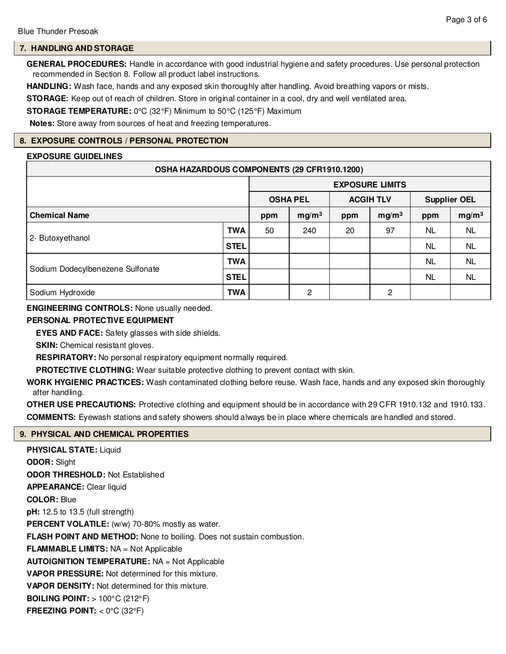# **7. HANDLING AND STORAGE**

**GENERAL PROCEDURES:** Handle in accordance with good industrial hygiene and safety procedures. Use personal protection recommended in Section 8. Follow all product label instructions.

**HANDLING:** Wash face, hands and any exposed skin thoroughly after handling. Avoid breathing vapors or mists.

**STORAGE:** Keep out of reach of children. Store in original container in a cool, dry and well ventilated area.

**STORAGE TEMPERATURE:** 0°C (32°F) Minimum to 50°C (125°F) Maximum

**Notes:** Store away from sources of heat and freezing temperatures.

#### **8. EXPOSURE CONTROLS / PERSONAL PROTECTION**

#### **EXPOSURE GUIDELINES**

| OSHA HAZARDOUS COMPONENTS (29 CFR1910.1200) |            |                        |                   |                  |                   |                          |           |
|---------------------------------------------|------------|------------------------|-------------------|------------------|-------------------|--------------------------|-----------|
|                                             |            | <b>EXPOSURE LIMITS</b> |                   |                  |                   |                          |           |
|                                             |            | <b>OSHA PEL</b>        |                   | <b>ACGIH TLV</b> |                   | <b>Supplier OEL</b>      |           |
| <b>Chemical Name</b>                        |            | ppm                    | mg/m <sup>3</sup> | ppm              | mg/m <sup>3</sup> | mg/m <sup>3</sup><br>ppm |           |
| 2- Butoxyethanol                            | <b>TWA</b> | 50                     | 240               | 20               | 97                | <b>NL</b>                | <b>NL</b> |
|                                             | STEL       |                        |                   |                  |                   | NL.                      | NL.       |
| Sodium Dodecylbenezene Sulfonate            | TWA        |                        |                   |                  |                   | <b>NL</b>                | <b>NL</b> |
|                                             | STEL       |                        |                   |                  |                   | NL.                      | NL.       |
| Sodium Hydroxide                            | <b>TWA</b> |                        | 2                 |                  | 2                 |                          |           |

**ENGINEERING CONTROLS:** None usually needed.

### **PERSONAL PROTECTIVE EQUIPMENT**

**EYES AND FACE:** Safety glasses with side shields.

**SKIN:** Chemical resistant gloves.

**RESPIRATORY:** No personal respiratory equipment normally required.

**PROTECTIVE CLOTHING:** Wear suitable protective clothing to prevent contact with skin.

**WORK HYGIENIC PRACTICES:** Wash contaminated clothing before reuse. Wash face, hands and any exposed skin thoroughly after handling.

**OTHER USE PRECAUTIONS:** Protective clothing and equipment should be in accordance with 29 CFR 1910.132 and 1910.133. **COMMENTS:** Eyewash stations and safety showers should always be in place where chemicals are handled and stored.

#### **9. PHYSICAL AND CHEMICAL PROPERTIES**

**PHYSICAL STATE:** Liquid **ODOR:** Slight **ODOR THRESHOLD:** Not Established **APPEARANCE:** Clear liquid **COLOR:** Blue **pH:** 12.5 to 13.5 (full strength) PERCENT VOLATILE: (w/w) 70-80% mostly as water. **FLASH POINT AND METHOD:** None to boiling. Does not sustain combustion. **FLAMMABLE LIMITS:** NA = Not Applicable **AUTOIGNITION TEMPERATURE:** NA = Not Applicable **VAPOR PRESSURE:** Not determined for this mixture. **VAPOR DENSITY:** Not determined for this mixture. **BOILING POINT:** > 100°C (212°F) **FREEZING POINT:**  $<$  0 $\degree$ C (32 $\degree$ F)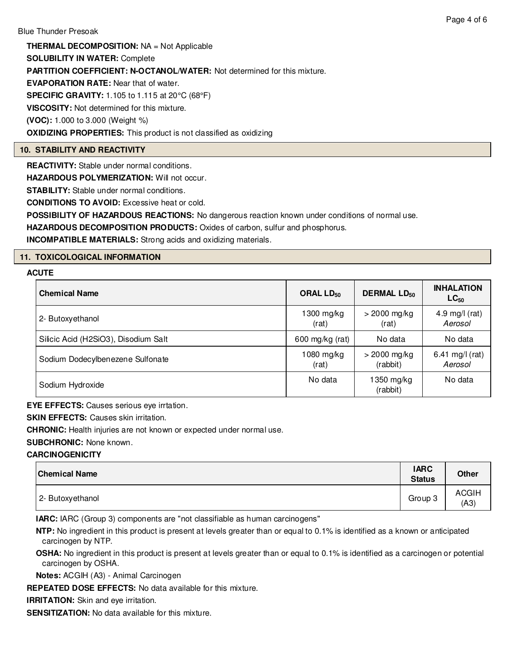**THERMAL DECOMPOSITION:** NA = Not Applicable **SOLUBILITY IN WATER:** Complete **PARTITION COEFFICIENT: N-OCTANOL/WATER:** Not determined for this mixture. **EVAPORATION RATE:** Near that of water. **SPECIFIC GRAVITY:** 1.105 to 1.115 at 20°C (68°F) **VISCOSITY:** Not determined for this mixture. **(VOC):** 1.000 to 3.000 (Weight %) **OXIDIZING PROPERTIES:** This product is not classified as oxidizing

# **10. STABILITY AND REACTIVITY**

**REACTIVITY:** Stable under normal conditions.

**HAZARDOUS POLYMERIZATION: Will not occur.** 

**STABILITY:** Stable under normal conditions.

**CONDITIONS TO AVOID:** Excessive heat or cold.

**POSSIBILITY OF HAZARDOUS REACTIONS:** No dangerous reaction known under conditions of normal use.

**HAZARDOUS DECOMPOSITION PRODUCTS:** Oxides of carbon, sulfur and phosphorus.

**INCOMPATIBLE MATERIALS:** Strong acids and oxidizing materials.

# **11. TOXICOLOGICAL INFORMATION**

# **ACUTE**

| <b>Chemical Name</b>                 | ORAL $LD_{50}$        | <b>DERMAL LD<sub>50</sub></b> |                             |  |
|--------------------------------------|-----------------------|-------------------------------|-----------------------------|--|
| 2- Butoxyethanol                     | $1300$ mg/kg<br>(rat) | $>$ 2000 mg/kg<br>(rat)       | 4.9 mg/l $(rat)$<br>Aerosol |  |
| Silicic Acid (H2SiO3), Disodium Salt | 600 mg/kg (rat)       | No data                       | No data                     |  |
| Sodium Dodecylbenezene Sulfonate     | $1080$ mg/kg<br>(rat) | $>$ 2000 mg/kg<br>(rabbit)    | 6.41 mg/l (rat)<br>Aerosol  |  |
| Sodium Hydroxide                     | No data               | 1350 mg/kg<br>(rabbit)        | No data                     |  |

**EYE EFFECTS:** Causes serious eye irrtation.

**SKIN EFFECTS: Causes skin irritation.** 

**CHRONIC:** Health injuries are not known or expected under normal use.

**SUBCHRONIC:** None known.

# **CARCINOGENICITY**

| <b>Chemical Name</b> | <b>IARC</b><br><b>Status</b> | <b>Other</b>         |
|----------------------|------------------------------|----------------------|
| 2- Butoxyethanol     | Group 3                      | <b>ACGIH</b><br>(A3) |

**IARC:** IARC (Group 3) components are "not classifiable as human carcinogens"

**NTP:** No ingredient in this product is present at levels greater than or equal to 0.1% is identified as a known or anticipated carcinogen by NTP.

**OSHA:** No ingredient in this product is present at levels greater than or equal to 0.1% is identified as a carcinogen or potential carcinogen by OSHA.

**Notes:** ACGIH (A3) - Animal Carcinogen

**REPEATED DOSE EFFECTS:** No data available for this mixture.

**IRRITATION:** Skin and eye irritation.

**SENSITIZATION:** No data available for this mixture.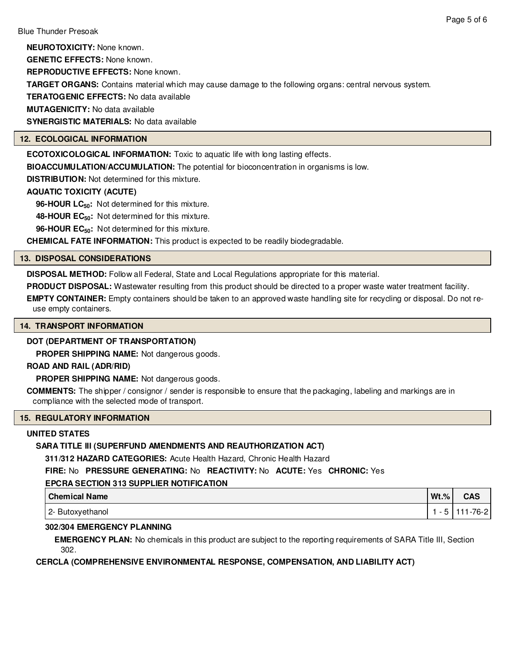Page 5 of 6

**NEUROTOXICITY:** None known.

**GENETIC EFFECTS:** None known.

**REPRODUCTIVE EFFECTS:** None known.

**TARGET ORGANS:** Contains material which may cause damage to the following organs: central nervous system.

**TERATOGENIC EFFECTS:** No data available

**MUTAGENICITY:** No data available

**SYNERGISTIC MATERIALS:** No data available

# **12. ECOLOGICAL INFORMATION**

**ECOTOXICOLOGICAL INFORMATION:** Toxic to aquatic life with long lasting effects.

**BIOACCUMULATION/ACCUMULATION:** The potential for bioconcentration in organisms is low.

**DISTRIBUTION:** Not determined for this mixture.

# **AQUATIC TOXICITY (ACUTE)**

**96-HOUR LC50:** Not determined for this mixture.

**48-HOUR EC50:** Not determined for this mixture.

**96-HOUR EC50:** Not determined for this mixture.

**CHEMICAL FATE INFORMATION:** This product is expected to be readily biodegradable.

## **13. DISPOSAL CONSIDERATIONS**

**DISPOSAL METHOD:** Follow all Federal, State and Local Regulations appropriate for this material.

**PRODUCT DISPOSAL:** Wastewater resulting from this product should be directed to a proper waste water treatment facility.

**EMPTY CONTAINER:** Empty containers should be taken to an approved waste handling site for recycling or disposal. Do not reuse empty containers.

#### **14. TRANSPORT INFORMATION**

# **DOT (DEPARTMENT OF TRANSPORTATION)**

**PROPER SHIPPING NAME:** Not dangerous goods.

#### **ROAD AND RAIL (ADR/RID)**

**PROPER SHIPPING NAME:** Not dangerous goods.

**COMMENTS:** The shipper / consignor / sender is responsible to ensure that the packaging, labeling and markings are in compliance with the selected mode of transport.

# **15. REGULATORY INFORMATION**

# **UNITED STATES**

# **SARA TITLE III (SUPERFUND AMENDMENTS AND REAUTHORIZATION ACT)**

**311/312 HAZARD CATEGORIES:** Acute Health Hazard, Chronic Health Hazard

**FIRE:** No **PRESSURE GENERATING:** No **REACTIVITY:** No **ACUTE:** Yes **CHRONIC:** Yes

# **EPCRA SECTION 313 SUPPLIER NOTIFICATION**

| <b>Chemical Name</b> | $Wt.$ % | <b>CAS</b> |
|----------------------|---------|------------|
| 2- Butoxyethanol     |         | $-76-2$    |

# **302/304 EMERGENCY PLANNING**

**EMERGENCY PLAN:** No chemicals in this product are subject to the reporting requirements of SARA Title III, Section 302.

**CERCLA (COMPREHENSIVE ENVIRONMENTAL RESPONSE, COMPENSATION, AND LIABILITY ACT)**